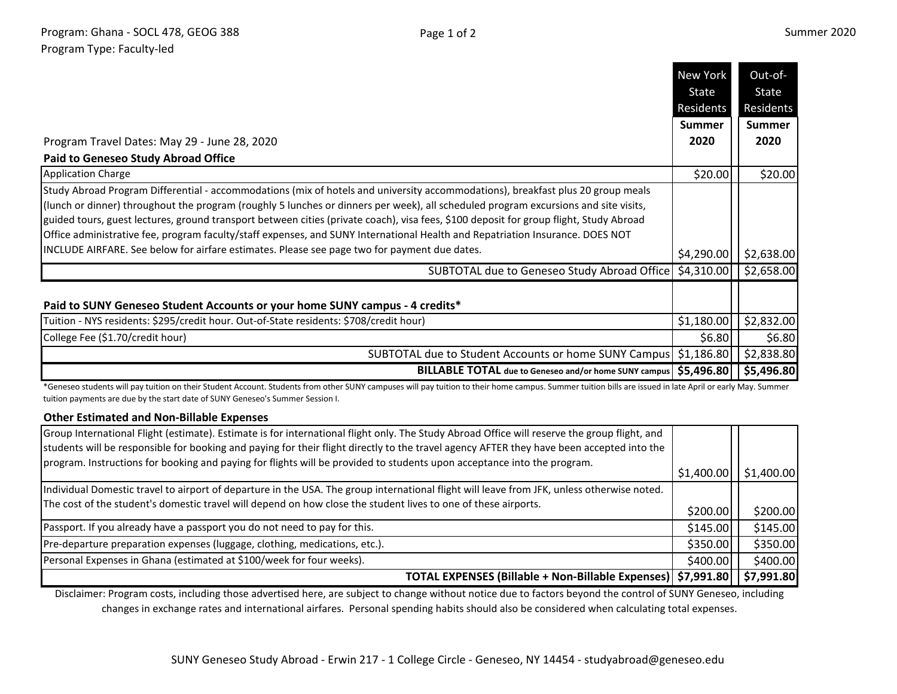|                                                                                                                                                                                                                                                                                                                                                                                                                                                                                                                                                   | State<br>Residents | State         |
|---------------------------------------------------------------------------------------------------------------------------------------------------------------------------------------------------------------------------------------------------------------------------------------------------------------------------------------------------------------------------------------------------------------------------------------------------------------------------------------------------------------------------------------------------|--------------------|---------------|
|                                                                                                                                                                                                                                                                                                                                                                                                                                                                                                                                                   |                    |               |
|                                                                                                                                                                                                                                                                                                                                                                                                                                                                                                                                                   |                    | Residents     |
|                                                                                                                                                                                                                                                                                                                                                                                                                                                                                                                                                   | <b>Summer</b>      | <b>Summer</b> |
| Program Travel Dates: May 29 - June 28, 2020                                                                                                                                                                                                                                                                                                                                                                                                                                                                                                      | 2020               | 2020          |
| <b>Paid to Geneseo Study Abroad Office</b>                                                                                                                                                                                                                                                                                                                                                                                                                                                                                                        |                    |               |
| <b>Application Charge</b>                                                                                                                                                                                                                                                                                                                                                                                                                                                                                                                         | \$20.00            | \$20.00       |
| Study Abroad Program Differential - accommodations (mix of hotels and university accommodations), breakfast plus 20 group meals<br>(lunch or dinner) throughout the program (roughly 5 lunches or dinners per week), all scheduled program excursions and site visits,<br>guided tours, guest lectures, ground transport between cities (private coach), visa fees, \$100 deposit for group flight, Study Abroad<br>Office administrative fee, program faculty/staff expenses, and SUNY International Health and Repatriation Insurance. DOES NOT |                    |               |
| INCLUDE AIRFARE. See below for airfare estimates. Please see page two for payment due dates.                                                                                                                                                                                                                                                                                                                                                                                                                                                      | \$4,290.00         | \$2,638.00    |
| SUBTOTAL due to Geneseo Study Abroad Office                                                                                                                                                                                                                                                                                                                                                                                                                                                                                                       | \$4,310.00         | \$2,658.00    |
| Paid to SUNY Geneseo Student Accounts or your home SUNY campus - 4 credits*                                                                                                                                                                                                                                                                                                                                                                                                                                                                       |                    |               |
| Tuition - NYS residents: \$295/credit hour. Out-of-State residents: \$708/credit hour)                                                                                                                                                                                                                                                                                                                                                                                                                                                            | \$1,180.00         | \$2,832.00    |
| College Fee (\$1.70/credit hour)                                                                                                                                                                                                                                                                                                                                                                                                                                                                                                                  | \$6.80             | \$6.80        |
| SUBTOTAL due to Student Accounts or home SUNY Campus                                                                                                                                                                                                                                                                                                                                                                                                                                                                                              | \$1,186.80         | \$2,838.80    |
| BILLABLE TOTAL due to Geneseo and/or home SUNY campus   \$5,496.80                                                                                                                                                                                                                                                                                                                                                                                                                                                                                |                    | \$5,496.80    |

\*Geneseo students will pay tuition on their Student Account. Students from other SUNY campuses will pay tuition to their home campus. Summer tuition bills are issued in late April or early May. Summer tuition payments are due by the start date of SUNY Geneseo's Summer Session I.

## **Other Estimated and Non-Billable Expenses**

| Group International Flight (estimate). Estimate is for international flight only. The Study Abroad Office will reserve the group flight, and |          |                                       |
|----------------------------------------------------------------------------------------------------------------------------------------------|----------|---------------------------------------|
| students will be responsible for booking and paying for their flight directly to the travel agency AFTER they have been accepted into the    |          |                                       |
| program. Instructions for booking and paying for flights will be provided to students upon acceptance into the program.                      |          |                                       |
|                                                                                                                                              |          | $\vert$ \$1,400.00 $\vert$ \$1,400.00 |
| Individual Domestic travel to airport of departure in the USA. The group international flight will leave from JFK, unless otherwise noted.   |          |                                       |
| The cost of the student's domestic travel will depend on how close the student lives to one of these airports.                               | \$200.00 | \$200.00                              |
|                                                                                                                                              |          |                                       |
| Passport. If you already have a passport you do not need to pay for this.                                                                    | \$145.00 | \$145.00                              |
| Pre-departure preparation expenses (luggage, clothing, medications, etc.).                                                                   | \$350.00 | \$350.00                              |
| Personal Expenses in Ghana (estimated at \$100/week for four weeks).                                                                         | \$400.00 | \$400.00                              |
| TOTAL EXPENSES (Billable + Non-Billable Expenses)   \$7,991.80     \$7,991.80                                                                |          |                                       |

Disclaimer: Program costs, including those advertised here, are subject to change without notice due to factors beyond the control of SUNY Geneseo, including changes in exchange rates and international airfares. Personal spending habits should also be considered when calculating total expenses.